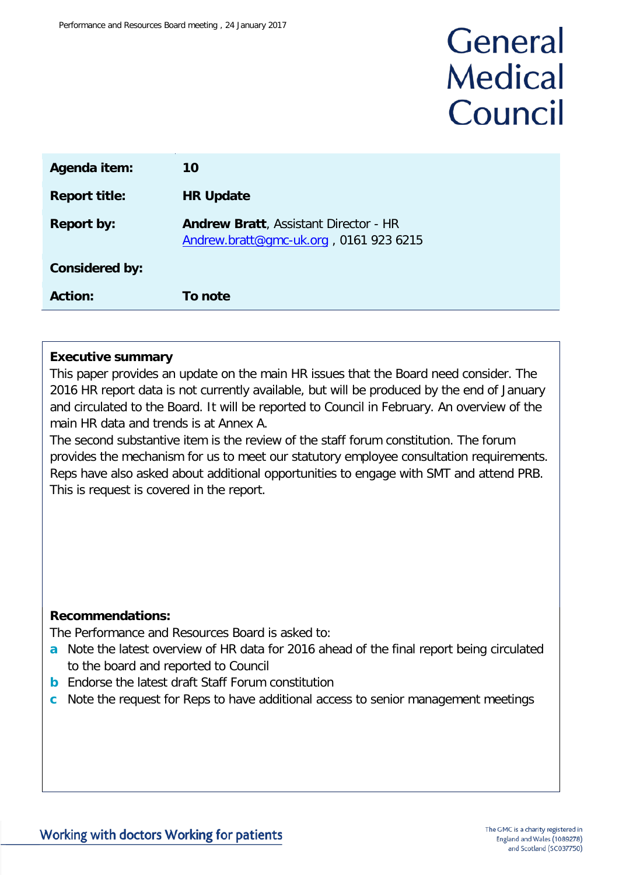# General **Medical** Council

| Agenda item:          | 10                                                                                     |
|-----------------------|----------------------------------------------------------------------------------------|
| <b>Report title:</b>  | <b>HR Update</b>                                                                       |
| <b>Report by:</b>     | <b>Andrew Bratt, Assistant Director - HR</b><br>Andrew.bratt@gmc-uk.org, 0161 923 6215 |
| <b>Considered by:</b> |                                                                                        |
| <b>Action:</b>        | <b>To note</b>                                                                         |

#### **Executive summary**

This paper provides an update on the main HR issues that the Board need consider. The 2016 HR report data is not currently available, but will be produced by the end of January and circulated to the Board. It will be reported to Council in February. An overview of the main HR data and trends is at Annex A.

The second substantive item is the review of the staff forum constitution. The forum provides the mechanism for us to meet our statutory employee consultation requirements. Reps have also asked about additional opportunities to engage with SMT and attend PRB. This is request is covered in the report.

#### **Recommendations:**

The Performance and Resources Board is asked to:

- **a** Note the latest overview of HR data for 2016 ahead of the final report being circulated to the board and reported to Council
- **b** Endorse the latest draft Staff Forum constitution
- **c** Note the request for Reps to have additional access to senior management meetings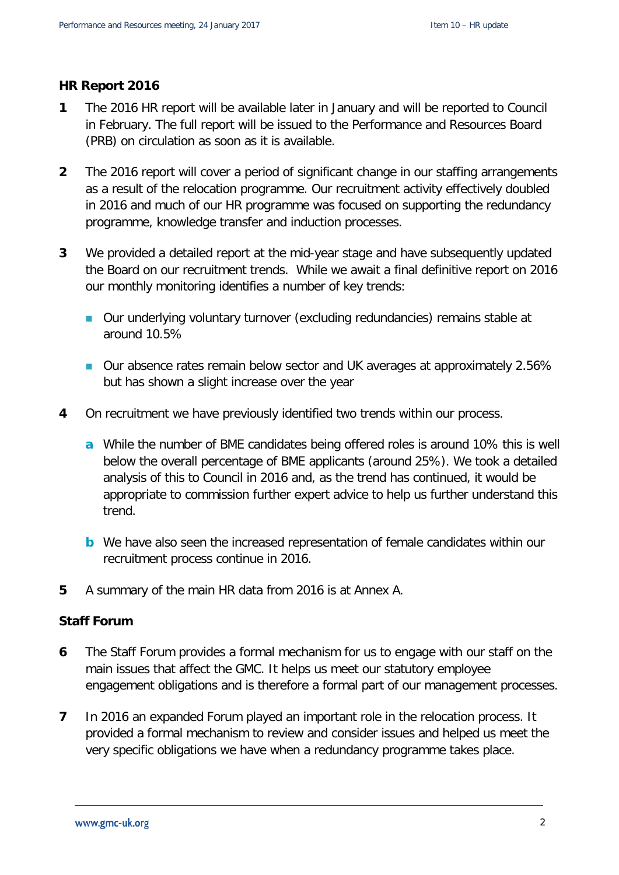#### **HR Report 2016**

- **1** The 2016 HR report will be available later in January and will be reported to Council in February. The full report will be issued to the Performance and Resources Board (PRB) on circulation as soon as it is available.
- **2** The 2016 report will cover a period of significant change in our staffing arrangements as a result of the relocation programme. Our recruitment activity effectively doubled in 2016 and much of our HR programme was focused on supporting the redundancy programme, knowledge transfer and induction processes.
- **3** We provided a detailed report at the mid-year stage and have subsequently updated the Board on our recruitment trends. While we await a final definitive report on 2016 our monthly monitoring identifies a number of key trends:
	- Our underlying voluntary turnover (excluding redundancies) remains stable at around 10.5%
	- Our absence rates remain below sector and UK averages at approximately 2.56% but has shown a slight increase over the year
- **4** On recruitment we have previously identified two trends within our process.
	- **a** While the number of BME candidates being offered roles is around 10% this is well below the overall percentage of BME applicants (around 25%). We took a detailed analysis of this to Council in 2016 and, as the trend has continued, it would be appropriate to commission further expert advice to help us further understand this trend.
	- **b** We have also seen the increased representation of female candidates within our recruitment process continue in 2016.
- **5** A summary of the main HR data from 2016 is at Annex A.

#### **Staff Forum**

- **6** The Staff Forum provides a formal mechanism for us to engage with our staff on the main issues that affect the GMC. It helps us meet our statutory employee engagement obligations and is therefore a formal part of our management processes.
- **7** In 2016 an expanded Forum played an important role in the relocation process. It provided a formal mechanism to review and consider issues and helped us meet the very specific obligations we have when a redundancy programme takes place.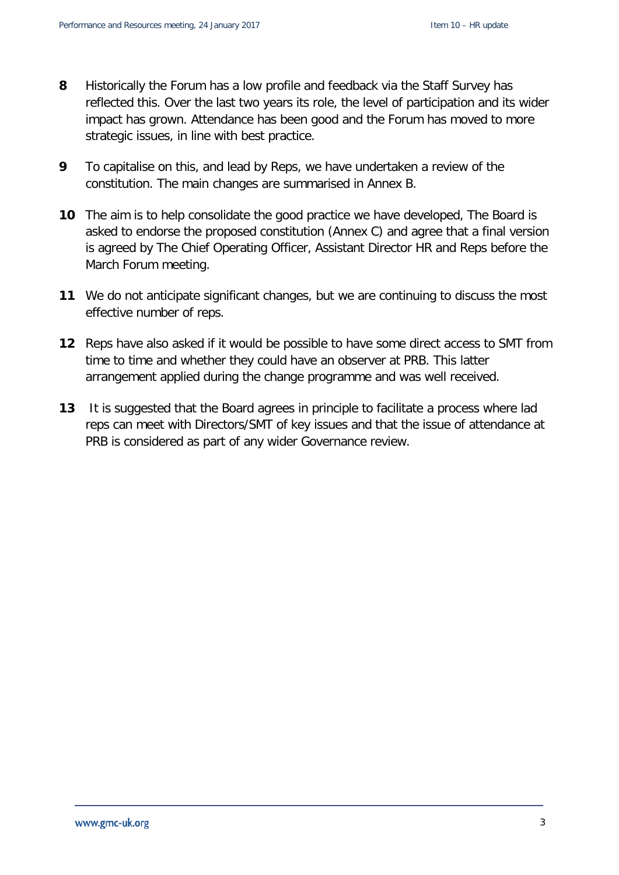- **8** Historically the Forum has a low profile and feedback via the Staff Survey has reflected this. Over the last two years its role, the level of participation and its wider impact has grown. Attendance has been good and the Forum has moved to more strategic issues, in line with best practice.
- **9** To capitalise on this, and lead by Reps, we have undertaken a review of the constitution. The main changes are summarised in Annex B.
- **10** The aim is to help consolidate the good practice we have developed, The Board is asked to endorse the proposed constitution (Annex C) and agree that a final version is agreed by The Chief Operating Officer, Assistant Director HR and Reps before the March Forum meeting.
- **11** We do not anticipate significant changes, but we are continuing to discuss the most effective number of reps.
- **12** Reps have also asked if it would be possible to have some direct access to SMT from time to time and whether they could have an observer at PRB. This latter arrangement applied during the change programme and was well received.
- **13** It is suggested that the Board agrees in principle to facilitate a process where lad reps can meet with Directors/SMT of key issues and that the issue of attendance at PRB is considered as part of any wider Governance review.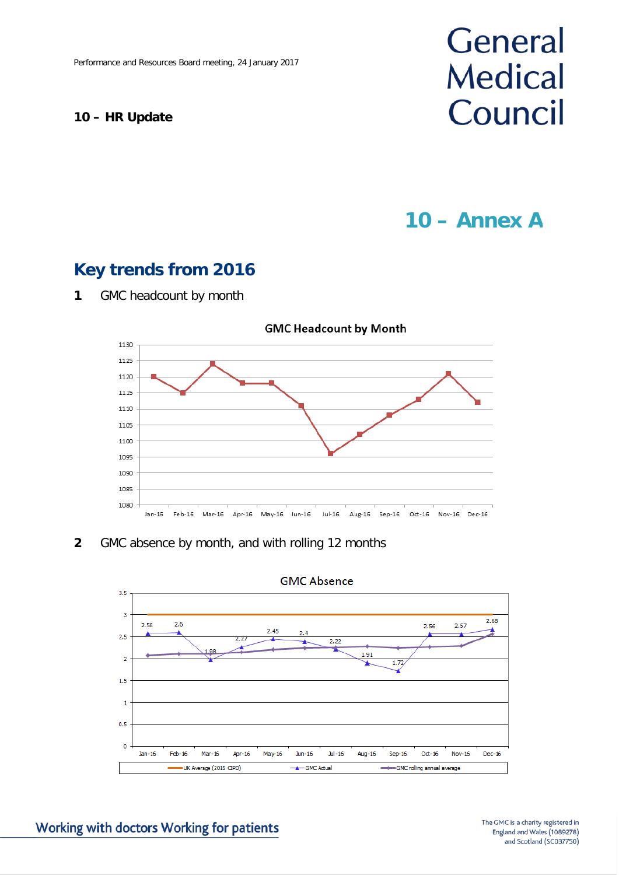#### **10 – HR Update**

# General **Medical** Council

## **10 – Annex A**

### **Key trends from 2016**



**1** GMC headcount by month

#### **2** GMC absence by month, and with rolling 12 months



**GMC Absence**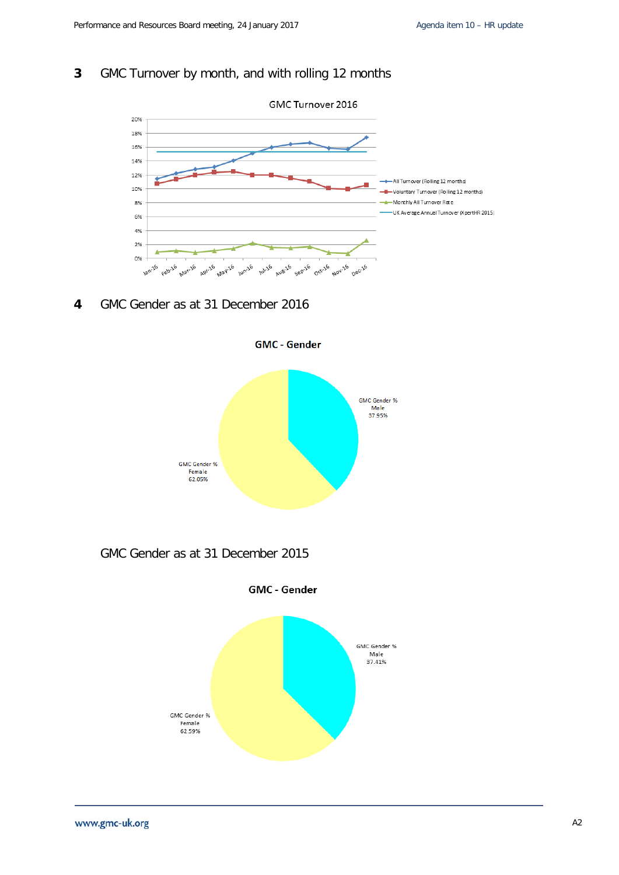#### **3** GMC Turnover by month, and with rolling 12 months



**4** GMC Gender as at 31 December 2016



GMC Gender as at 31 December 2015

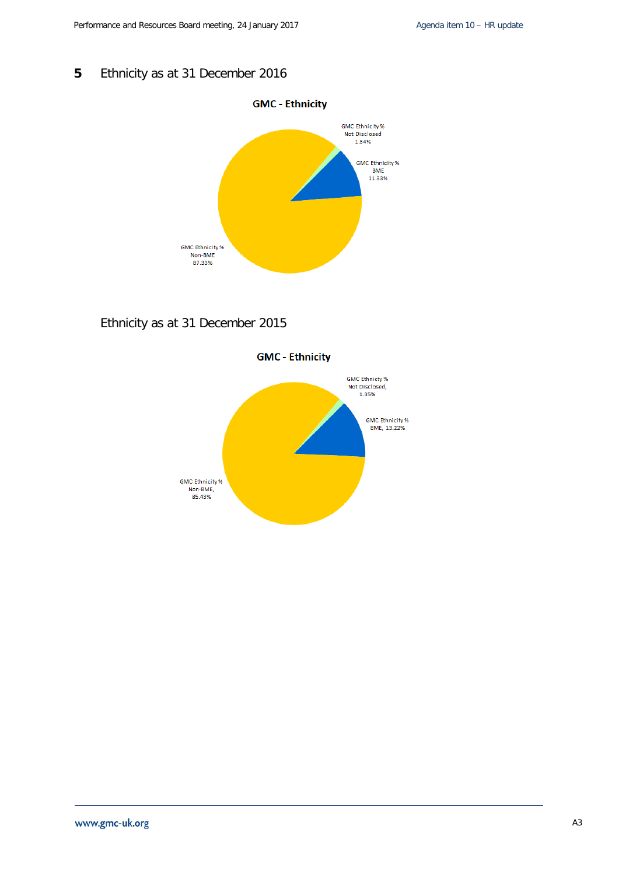#### **5** Ethnicity as at 31 December 2016



#### Ethnicity as at 31 December 2015

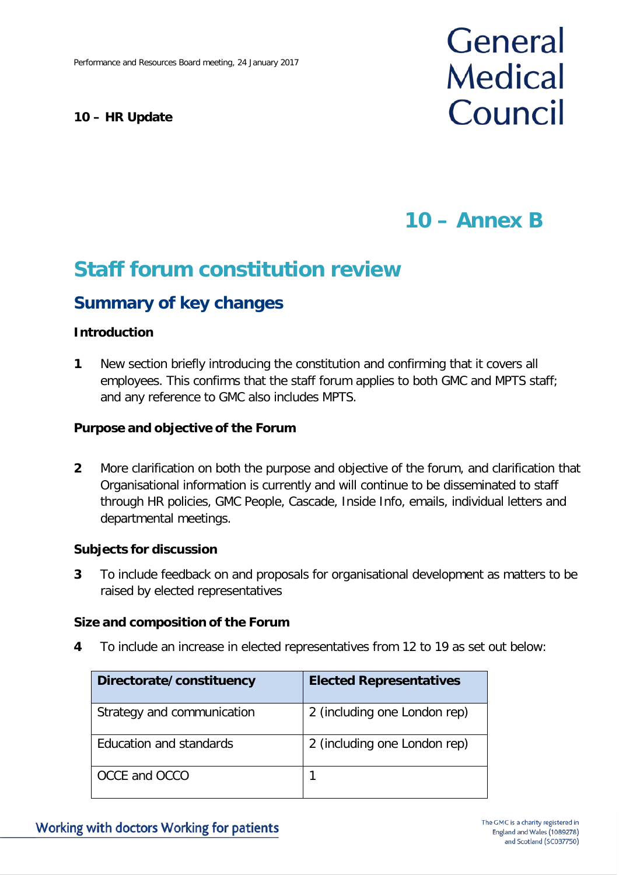#### **10 – HR Update**

# General **Medical** Council

## **10 – Annex B**

## **Staff forum constitution review**

### **Summary of key changes**

#### **Introduction**

**1** New section briefly introducing the constitution and confirming that it covers all employees. This confirms that the staff forum applies to both GMC and MPTS staff; and any reference to GMC also includes MPTS.

#### **Purpose and objective of the Forum**

**2** More clarification on both the purpose and objective of the forum, and clarification that Organisational information is currently and will continue to be disseminated to staff through HR policies, GMC People, Cascade, Inside Info, emails, individual letters and departmental meetings.

#### **Subjects for discussion**

**3** To include feedback on and proposals for organisational development as matters to be raised by elected representatives

#### **Size and composition of the Forum**

**4** To include an increase in elected representatives from 12 to 19 as set out below:

| Directorate/constituency   | <b>Elected Representatives</b> |
|----------------------------|--------------------------------|
| Strategy and communication | 2 (including one London rep)   |
| Education and standards    | 2 (including one London rep)   |
| OCCE and OCCO              |                                |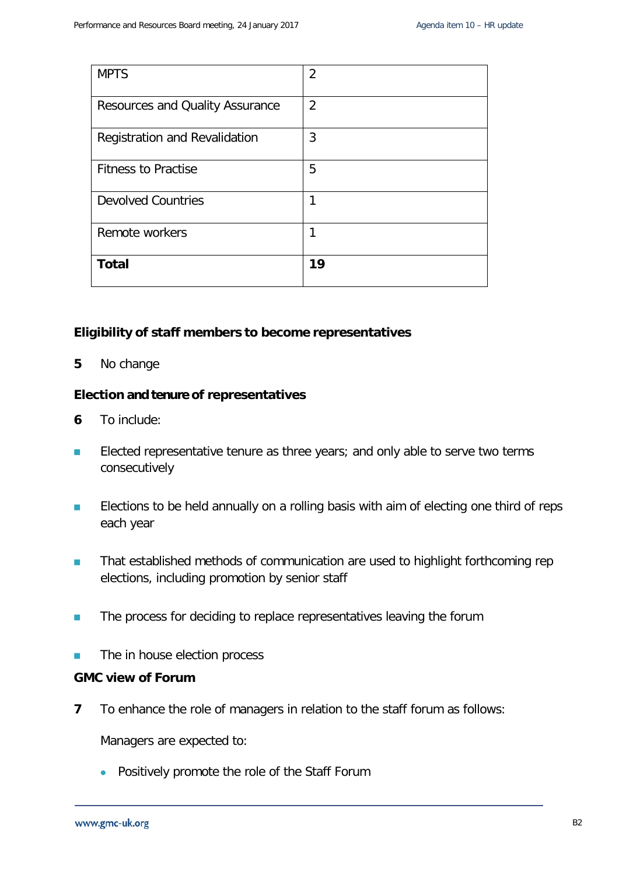| <b>MPTS</b>                     | 2              |
|---------------------------------|----------------|
| Resources and Quality Assurance | $\overline{2}$ |
| Registration and Revalidation   | 3              |
| <b>Fitness to Practise</b>      | 5              |
| <b>Devolved Countries</b>       | 1              |
| Remote workers                  | 1              |
| <b>Total</b>                    | 19             |

#### **Eligibility of staff members to become representatives**

**5** No change

#### **Election and tenure of representatives**

- **6** To include:
- **Elected representative tenure as three years; and only able to serve two terms** consecutively
- **ELECT** Elections to be held annually on a rolling basis with aim of electing one third of reps each year
- **That established methods of communication are used to highlight forthcoming rep** elections, including promotion by senior staff
- **The process for deciding to replace representatives leaving the forum**
- **The in house election process**

#### **GMC view of Forum**

**7** To enhance the role of managers in relation to the staff forum as follows:

Managers are expected to:

• Positively promote the role of the Staff Forum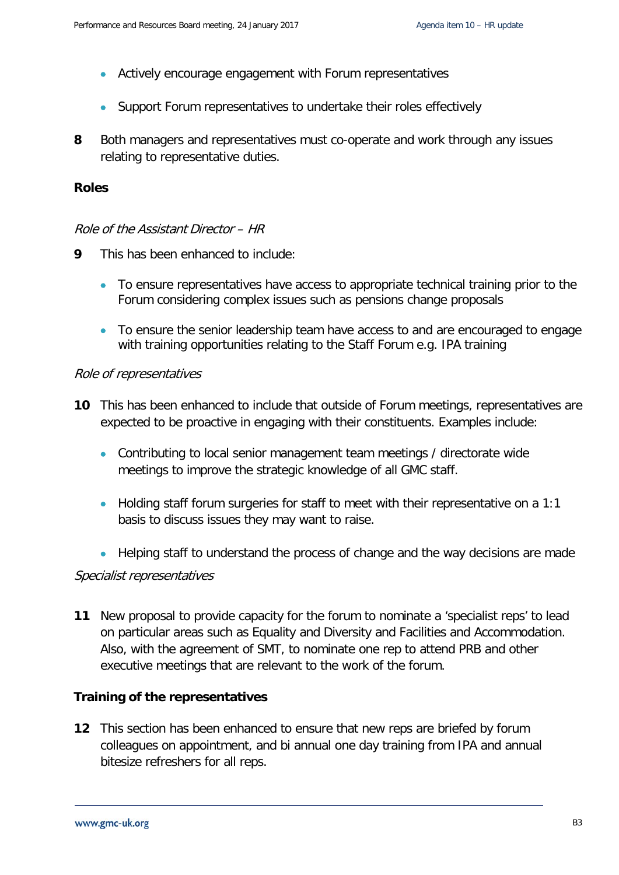- Actively encourage engagement with Forum representatives
- Support Forum representatives to undertake their roles effectively
- **8** Both managers and representatives must co-operate and work through any issues relating to representative duties.

#### **Roles**

#### Role of the Assistant Director – HR

- **9** This has been enhanced to include:
	- To ensure representatives have access to appropriate technical training prior to the Forum considering complex issues such as pensions change proposals
	- To ensure the senior leadership team have access to and are encouraged to engage with training opportunities relating to the Staff Forum e.g. IPA training

#### Role of representatives

- **10** This has been enhanced to include that outside of Forum meetings, representatives are expected to be proactive in engaging with their constituents. Examples include:
	- Contributing to local senior management team meetings / directorate wide meetings to improve the strategic knowledge of all GMC staff.
	- Holding staff forum surgeries for staff to meet with their representative on a 1:1 basis to discuss issues they may want to raise.
	- Helping staff to understand the process of change and the way decisions are made

#### Specialist representatives

**11** New proposal to provide capacity for the forum to nominate a 'specialist reps' to lead on particular areas such as Equality and Diversity and Facilities and Accommodation. Also, with the agreement of SMT, to nominate one rep to attend PRB and other executive meetings that are relevant to the work of the forum.

#### **Training of the representatives**

**12** This section has been enhanced to ensure that new reps are briefed by forum colleagues on appointment, and bi annual one day training from IPA and annual bitesize refreshers for all reps.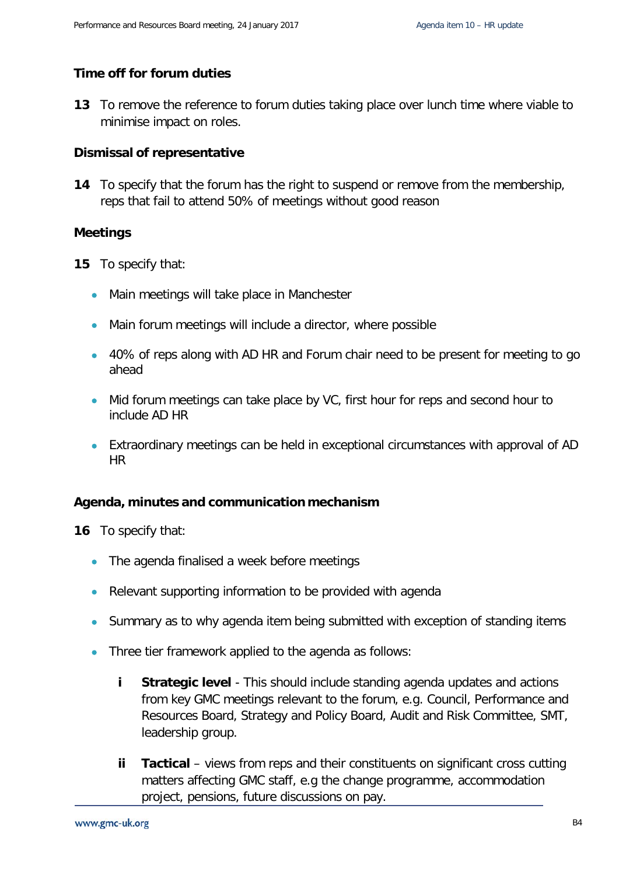#### **Time off for forum duties**

**13** To remove the reference to forum duties taking place over lunch time where viable to minimise impact on roles.

#### **Dismissal of representative**

**14** To specify that the forum has the right to suspend or remove from the membership, reps that fail to attend 50% of meetings without good reason

#### **Meetings**

**15** To specify that:

- Main meetings will take place in Manchester
- Main forum meetings will include a director, where possible
- 40% of reps along with AD HR and Forum chair need to be present for meeting to go ahead
- Mid forum meetings can take place by VC, first hour for reps and second hour to include AD HR
- Extraordinary meetings can be held in exceptional circumstances with approval of AD HR

#### **Agenda, minutes and communication mechanism**

**16** To specify that:

- The agenda finalised a week before meetings
- Relevant supporting information to be provided with agenda
- Summary as to why agenda item being submitted with exception of standing items
- Three tier framework applied to the agenda as follows:
	- **i Strategic level** This should include standing agenda updates and actions from key GMC meetings relevant to the forum, e.g. Council, Performance and Resources Board, Strategy and Policy Board, Audit and Risk Committee, SMT, leadership group.
	- **ii Tactical** views from reps and their constituents on significant cross cutting matters affecting GMC staff, e.g the change programme, accommodation project, pensions, future discussions on pay.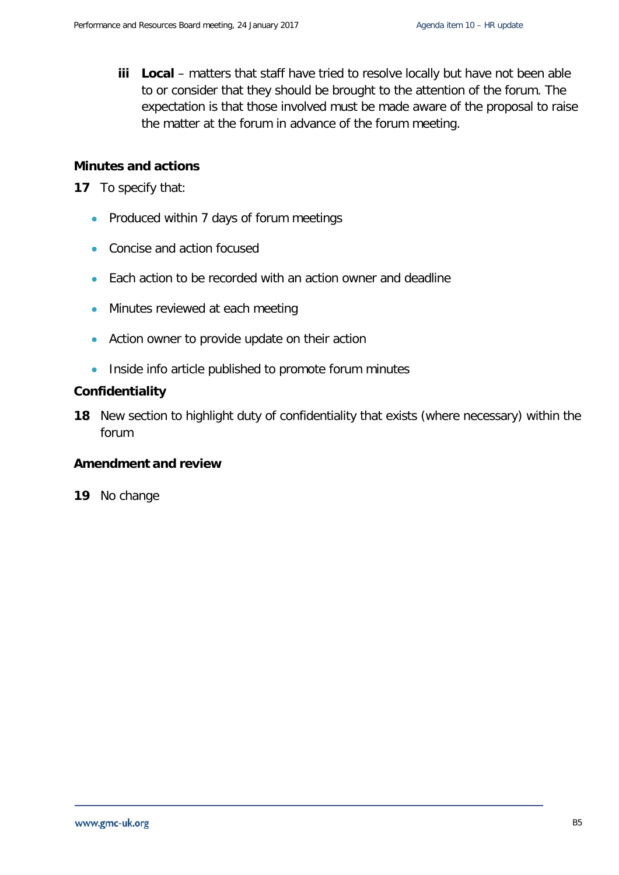**iii Local** – matters that staff have tried to resolve locally but have not been able to or consider that they should be brought to the attention of the forum. The expectation is that those involved must be made aware of the proposal to raise the matter at the forum in advance of the forum meeting.

#### **Minutes and actions**

**17** To specify that:

- Produced within 7 days of forum meetings
- Concise and action focused
- Each action to be recorded with an action owner and deadline
- Minutes reviewed at each meeting
- Action owner to provide update on their action
- Inside info article published to promote forum minutes

#### **Confidentiality**

**18** New section to highlight duty of confidentiality that exists (where necessary) within the forum

#### **Amendment and review**

**19** No change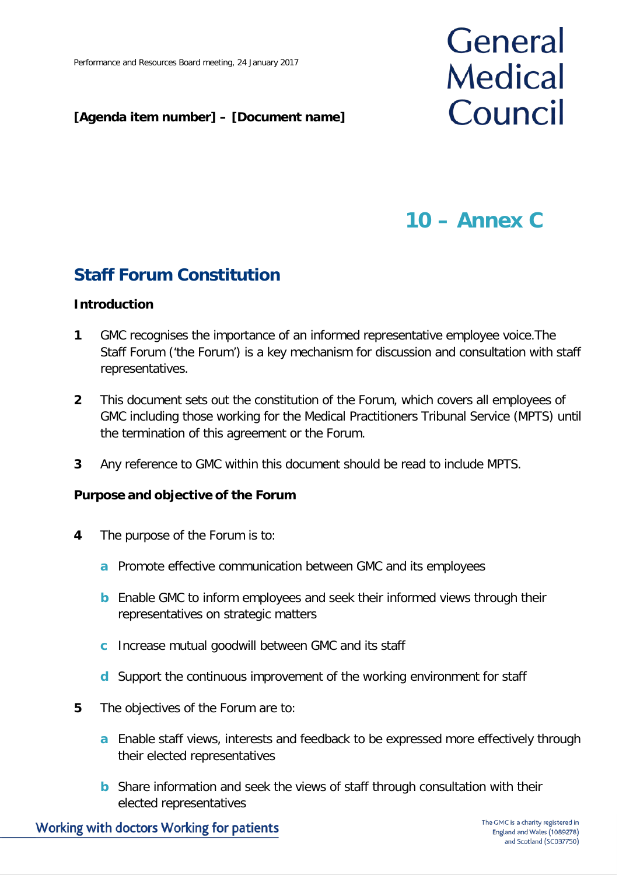#### **[Agenda item number] – [Document name]**

# General **Medical** Council

## **10 – Annex C**

### **Staff Forum Constitution**

#### **Introduction**

- **1** GMC recognises the importance of an informed representative employee voice.The Staff Forum ('the Forum') is a key mechanism for discussion and consultation with staff representatives.
- **2** This document sets out the constitution of the Forum, which covers all employees of GMC including those working for the Medical Practitioners Tribunal Service (MPTS) until the termination of this agreement or the Forum.
- **3** Any reference to GMC within this document should be read to include MPTS.

#### **Purpose and objective of the Forum**

- **4** The purpose of the Forum is to:
	- **a** Promote effective communication between GMC and its employees
	- **b** Enable GMC to inform employees and seek their informed views through their representatives on strategic matters
	- **c** Increase mutual goodwill between GMC and its staff
	- **d** Support the continuous improvement of the working environment for staff
- **5** The objectives of the Forum are to:
	- **a** Enable staff views, interests and feedback to be expressed more effectively through their elected representatives
	- **b** Share information and seek the views of staff through consultation with their elected representatives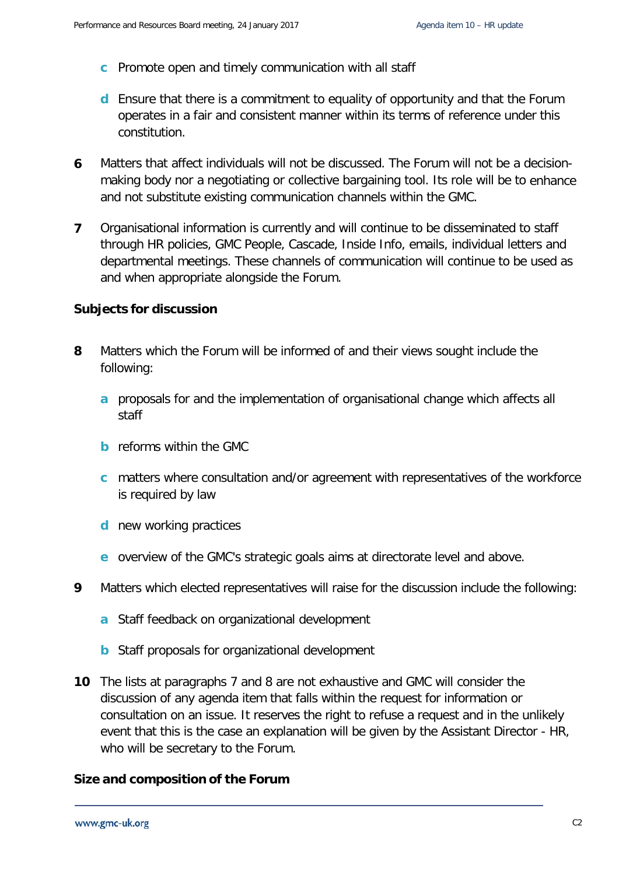- **c** Promote open and timely communication with all staff
- **d** Ensure that there is a commitment to equality of opportunity and that the Forum operates in a fair and consistent manner within its terms of reference under this constitution.
- **6** Matters that affect individuals will not be discussed. The Forum will not be a decisionmaking body nor a negotiating or collective bargaining tool. Its role will be to enhance and not substitute existing communication channels within the GMC.
- **7** Organisational information is currently and will continue to be disseminated to staff through HR policies, GMC People, Cascade, Inside Info, emails, individual letters and departmental meetings. These channels of communication will continue to be used as and when appropriate alongside the Forum.

#### **Subjects for discussion**

- **8** Matters which the Forum will be informed of and their views sought include the following:
	- **a** proposals for and the implementation of organisational change which affects all staff
	- **b** reforms within the GMC
	- **c** matters where consultation and/or agreement with representatives of the workforce is required by law
	- **d** new working practices
	- **e** overview of the GMC's strategic goals aims at directorate level and above.
- **9** Matters which elected representatives will raise for the discussion include the following:
	- **a** Staff feedback on organizational development
	- **b** Staff proposals for organizational development
- **10** The lists at paragraphs 7 and 8 are not exhaustive and GMC will consider the discussion of any agenda item that falls within the request for information or consultation on an issue. It reserves the right to refuse a request and in the unlikely event that this is the case an explanation will be given by the Assistant Director - HR, who will be secretary to the Forum.

#### **Size and composition of the Forum**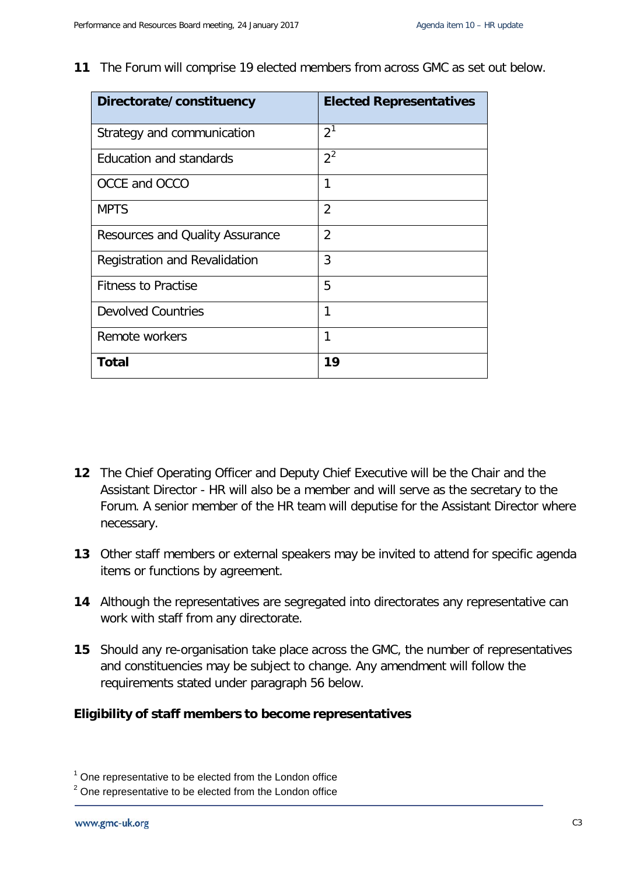**11** The Forum will comprise 19 elected members from across GMC as set out below.

| Directorate/constituency               | <b>Elected Representatives</b> |
|----------------------------------------|--------------------------------|
| Strategy and communication             | 2 <sup>1</sup>                 |
| <b>Education and standards</b>         | $2^2$                          |
| OCCE and OCCO                          | 1                              |
| <b>MPTS</b>                            | $\overline{2}$                 |
| <b>Resources and Quality Assurance</b> | $\overline{2}$                 |
| Registration and Revalidation          | 3                              |
| <b>Fitness to Practise</b>             | 5                              |
| <b>Devolved Countries</b>              | 1                              |
| Remote workers                         | 1                              |
| <b>Total</b>                           | 19                             |

- **12** The Chief Operating Officer and Deputy Chief Executive will be the Chair and the Assistant Director - HR will also be a member and will serve as the secretary to the Forum. A senior member of the HR team will deputise for the Assistant Director where necessary.
- **13** Other staff members or external speakers may be invited to attend for specific agenda items or functions by agreement.
- **14** Although the representatives are segregated into directorates any representative can work with staff from any directorate.
- **15** Should any re-organisation take place across the GMC, the number of representatives and constituencies may be subject to change. Any amendment will follow the requirements stated under paragraph 56 below.

#### **Eligibility of staff members to become representatives**

<span id="page-13-0"></span> $1$  One representative to be elected from the London office

<span id="page-13-1"></span> $2$  One representative to be elected from the London office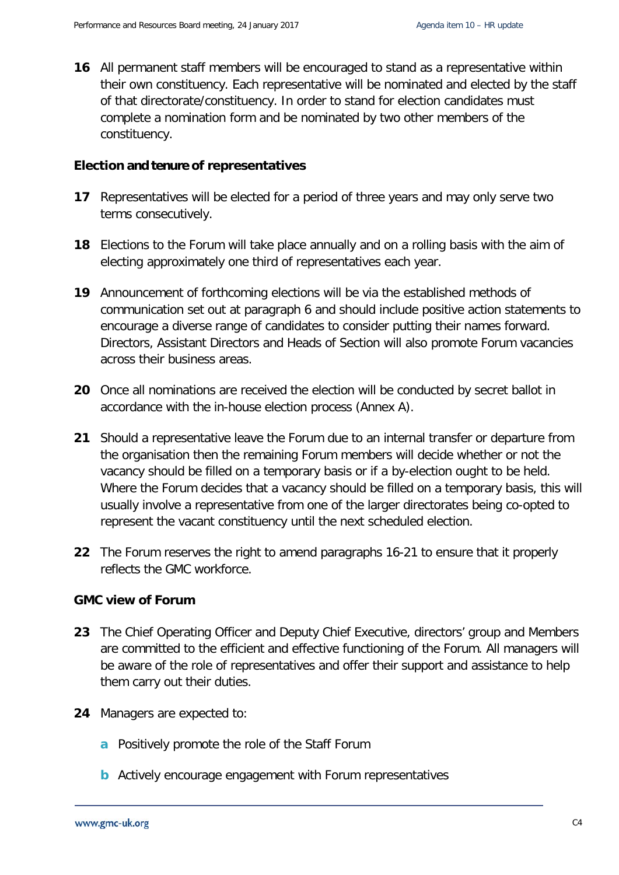**16** All permanent staff members will be encouraged to stand as a representative within their own constituency. Each representative will be nominated and elected by the staff of that directorate/constituency. In order to stand for election candidates must complete a nomination form and be nominated by two other members of the constituency.

#### **Election and tenure of representatives**

- **17** Representatives will be elected for a period of three years and may only serve two terms consecutively.
- **18** Elections to the Forum will take place annually and on a rolling basis with the aim of electing approximately one third of representatives each year.
- **19** Announcement of forthcoming elections will be via the established methods of communication set out at paragraph 6 and should include positive action statements to encourage a diverse range of candidates to consider putting their names forward. Directors, Assistant Directors and Heads of Section will also promote Forum vacancies across their business areas.
- **20** Once all nominations are received the election will be conducted by secret ballot in accordance with the in-house election process (Annex A).
- **21** Should a representative leave the Forum due to an internal transfer or departure from the organisation then the remaining Forum members will decide whether or not the vacancy should be filled on a temporary basis or if a by-election ought to be held. Where the Forum decides that a vacancy should be filled on a temporary basis, this will usually involve a representative from one of the larger directorates being co-opted to represent the vacant constituency until the next scheduled election.
- **22** The Forum reserves the right to amend paragraphs 16-21 to ensure that it properly reflects the GMC workforce.

#### **GMC view of Forum**

- **23** The Chief Operating Officer and Deputy Chief Executive, directors' group and Members are committed to the efficient and effective functioning of the Forum. All managers will be aware of the role of representatives and offer their support and assistance to help them carry out their duties.
- **24** Managers are expected to:
	- **a** Positively promote the role of the Staff Forum
	- **b** Actively encourage engagement with Forum representatives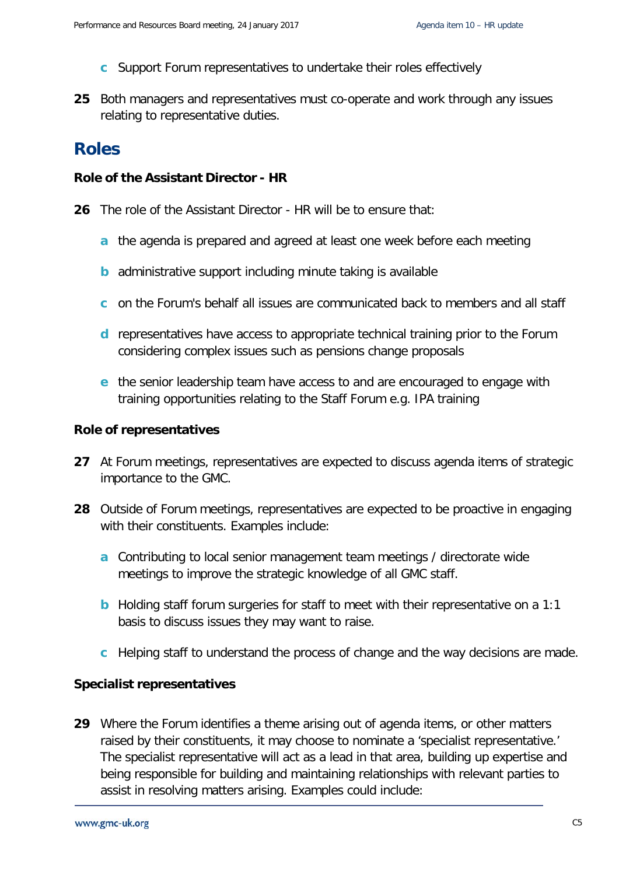- **c** Support Forum representatives to undertake their roles effectively
- **25** Both managers and representatives must co-operate and work through any issues relating to representative duties.

### **Roles**

#### **Role of the Assistant Director - HR**

- **26** The role of the Assistant Director HR will be to ensure that:
	- **a** the agenda is prepared and agreed at least one week before each meeting
	- **b** administrative support including minute taking is available
	- **c** on the Forum's behalf all issues are communicated back to members and all staff
	- **d** representatives have access to appropriate technical training prior to the Forum considering complex issues such as pensions change proposals
	- **e** the senior leadership team have access to and are encouraged to engage with training opportunities relating to the Staff Forum e.g. IPA training

#### **Role of representatives**

- **27** At Forum meetings, representatives are expected to discuss agenda items of strategic importance to the GMC.
- **28** Outside of Forum meetings, representatives are expected to be proactive in engaging with their constituents. Examples include:
	- **a** Contributing to local senior management team meetings / directorate wide meetings to improve the strategic knowledge of all GMC staff.
	- **b** Holding staff forum surgeries for staff to meet with their representative on a 1:1 basis to discuss issues they may want to raise.
	- **c** Helping staff to understand the process of change and the way decisions are made.

#### **Specialist representatives**

**29** Where the Forum identifies a theme arising out of agenda items, or other matters raised by their constituents, it may choose to nominate a 'specialist representative.' The specialist representative will act as a lead in that area, building up expertise and being responsible for building and maintaining relationships with relevant parties to assist in resolving matters arising. Examples could include: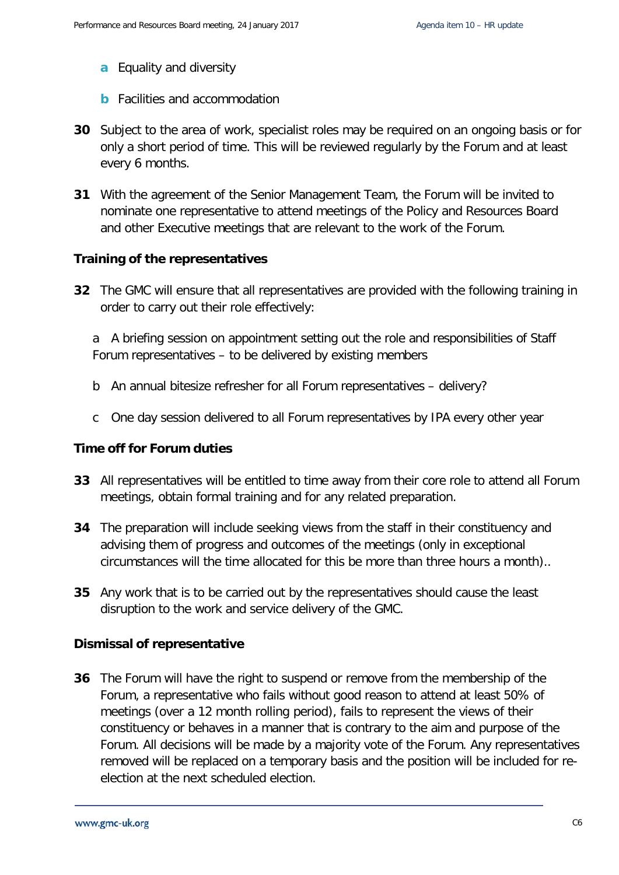- **a** Equality and diversity
- **b** Facilities and accommodation
- **30** Subject to the area of work, specialist roles may be required on an ongoing basis or for only a short period of time. This will be reviewed regularly by the Forum and at least every 6 months.
- **31** With the agreement of the Senior Management Team, the Forum will be invited to nominate one representative to attend meetings of the Policy and Resources Board and other Executive meetings that are relevant to the work of the Forum.

#### **Training of the representatives**

**32** The GMC will ensure that all representatives are provided with the following training in order to carry out their role effectively:

a A briefing session on appointment setting out the role and responsibilities of Staff Forum representatives – to be delivered by existing members

- b An annual bitesize refresher for all Forum representatives delivery?
- c One day session delivered to all Forum representatives by IPA every other year

#### **Time off for Forum duties**

- **33** All representatives will be entitled to time away from their core role to attend all Forum meetings, obtain formal training and for any related preparation.
- **34** The preparation will include seeking views from the staff in their constituency and advising them of progress and outcomes of the meetings (only in exceptional circumstances will the time allocated for this be more than three hours a month)..
- **35** Any work that is to be carried out by the representatives should cause the least disruption to the work and service delivery of the GMC.

#### **Dismissal of representative**

**36** The Forum will have the right to suspend or remove from the membership of the Forum, a representative who fails without good reason to attend at least 50% of meetings (over a 12 month rolling period), fails to represent the views of their constituency or behaves in a manner that is contrary to the aim and purpose of the Forum. All decisions will be made by a majority vote of the Forum. Any representatives removed will be replaced on a temporary basis and the position will be included for reelection at the next scheduled election.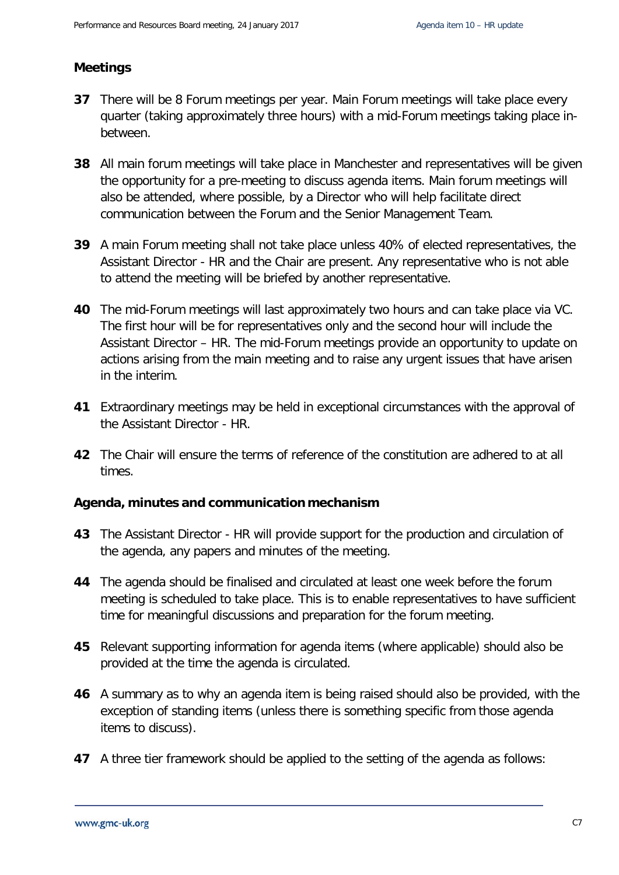#### **Meetings**

- **37** There will be 8 Forum meetings per year. Main Forum meetings will take place every quarter (taking approximately three hours) with a mid-Forum meetings taking place inbetween.
- **38** All main forum meetings will take place in Manchester and representatives will be given the opportunity for a pre-meeting to discuss agenda items. Main forum meetings will also be attended, where possible, by a Director who will help facilitate direct communication between the Forum and the Senior Management Team.
- **39** A main Forum meeting shall not take place unless 40% of elected representatives, the Assistant Director - HR and the Chair are present. Any representative who is not able to attend the meeting will be briefed by another representative.
- **40** The mid-Forum meetings will last approximately two hours and can take place via VC. The first hour will be for representatives only and the second hour will include the Assistant Director – HR. The mid-Forum meetings provide an opportunity to update on actions arising from the main meeting and to raise any urgent issues that have arisen in the interim.
- **41** Extraordinary meetings may be held in exceptional circumstances with the approval of the Assistant Director - HR.
- **42** The Chair will ensure the terms of reference of the constitution are adhered to at all times.

#### **Agenda, minutes and communication mechanism**

- **43** The Assistant Director HR will provide support for the production and circulation of the agenda, any papers and minutes of the meeting.
- **44** The agenda should be finalised and circulated at least one week before the forum meeting is scheduled to take place. This is to enable representatives to have sufficient time for meaningful discussions and preparation for the forum meeting.
- **45** Relevant supporting information for agenda items (where applicable) should also be provided at the time the agenda is circulated.
- **46** A summary as to why an agenda item is being raised should also be provided, with the exception of standing items (unless there is something specific from those agenda items to discuss).
- **47** A three tier framework should be applied to the setting of the agenda as follows: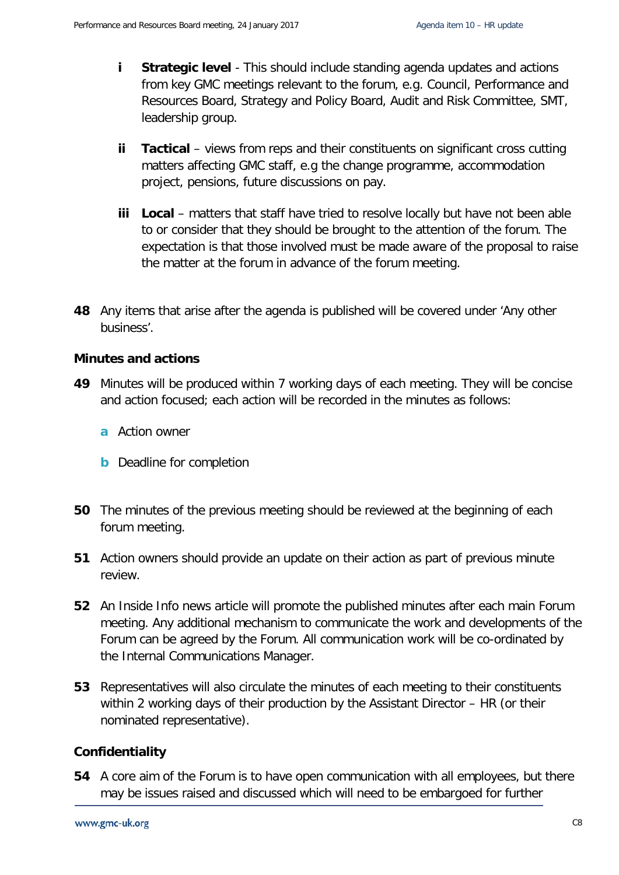- **i Strategic level** This should include standing agenda updates and actions from key GMC meetings relevant to the forum, e.g. Council, Performance and Resources Board, Strategy and Policy Board, Audit and Risk Committee, SMT, leadership group.
- **ii Tactical** views from reps and their constituents on significant cross cutting matters affecting GMC staff, e.g the change programme, accommodation project, pensions, future discussions on pay.
- **iii Local** matters that staff have tried to resolve locally but have not been able to or consider that they should be brought to the attention of the forum. The expectation is that those involved must be made aware of the proposal to raise the matter at the forum in advance of the forum meeting.
- **48** Any items that arise after the agenda is published will be covered under 'Any other business'.

#### **Minutes and actions**

- **49** Minutes will be produced within 7 working days of each meeting. They will be concise and action focused; each action will be recorded in the minutes as follows:
	- **a** Action owner
	- **b** Deadline for completion
- **50** The minutes of the previous meeting should be reviewed at the beginning of each forum meeting.
- **51** Action owners should provide an update on their action as part of previous minute review.
- **52** An Inside Info news article will promote the published minutes after each main Forum meeting. Any additional mechanism to communicate the work and developments of the Forum can be agreed by the Forum. All communication work will be co-ordinated by the Internal Communications Manager.
- **53** Representatives will also circulate the minutes of each meeting to their constituents within 2 working days of their production by the Assistant Director – HR (or their nominated representative).

#### **Confidentiality**

**54** A core aim of the Forum is to have open communication with all employees, but there may be issues raised and discussed which will need to be embargoed for further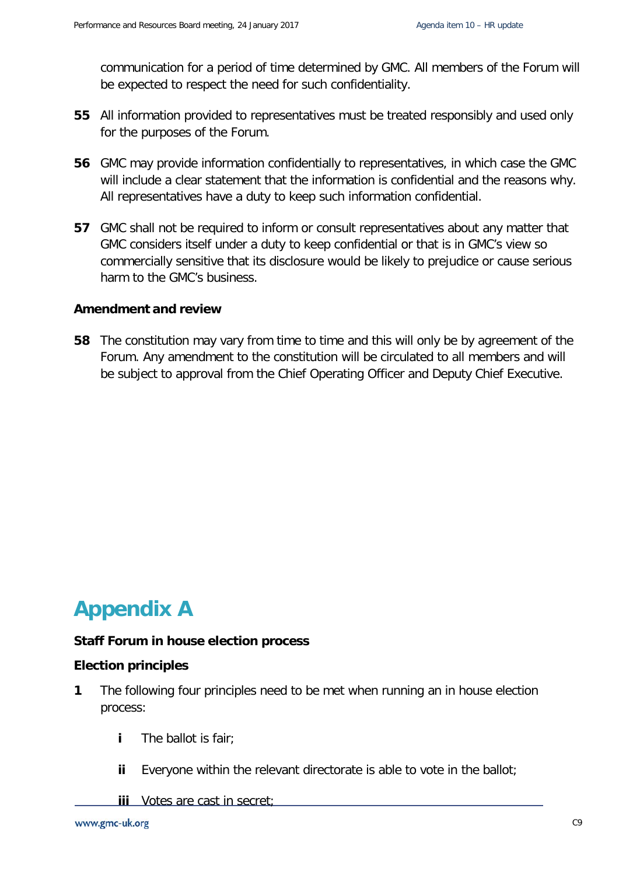communication for a period of time determined by GMC. All members of the Forum will be expected to respect the need for such confidentiality.

- **55** All information provided to representatives must be treated responsibly and used only for the purposes of the Forum.
- **56** GMC may provide information confidentially to representatives, in which case the GMC will include a clear statement that the information is confidential and the reasons why. All representatives have a duty to keep such information confidential.
- **57** GMC shall not be required to inform or consult representatives about any matter that GMC considers itself under a duty to keep confidential or that is in GMC's view so commercially sensitive that its disclosure would be likely to prejudice or cause serious harm to the GMC's business.

#### **Amendment and review**

**58** The constitution may vary from time to time and this will only be by agreement of the Forum. Any amendment to the constitution will be circulated to all members and will be subject to approval from the Chief Operating Officer and Deputy Chief Executive.

## **Appendix A**

#### **Staff Forum in house election process**

#### **Election principles**

- **1** The following four principles need to be met when running an in house election process:
	- **i** The ballot is fair;
	- **ii** Everyone within the relevant directorate is able to vote in the ballot;
	- **iii** Votes are cast in secret;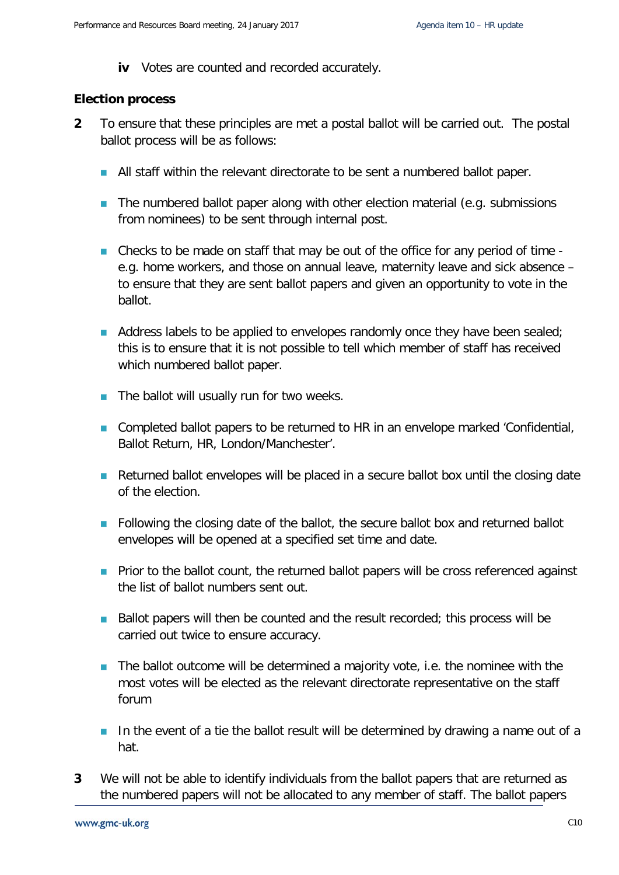**iv** Votes are counted and recorded accurately.

#### **Election process**

- **2** To ensure that these principles are met a postal ballot will be carried out. The postal ballot process will be as follows:
	- All staff within the relevant directorate to be sent a numbered ballot paper.
	- $\blacksquare$  The numbered ballot paper along with other election material (e.g. submissions from nominees) to be sent through internal post.
	- Checks to be made on staff that may be out of the office for any period of time e.g. home workers, and those on annual leave, maternity leave and sick absence – to ensure that they are sent ballot papers and given an opportunity to vote in the ballot.
	- Address labels to be applied to envelopes randomly once they have been sealed; this is to ensure that it is not possible to tell which member of staff has received which numbered ballot paper.
	- $\blacksquare$  The ballot will usually run for two weeks.
	- Completed ballot papers to be returned to HR in an envelope marked 'Confidential, Ballot Return, HR, London/Manchester'.
	- Returned ballot envelopes will be placed in a secure ballot box until the closing date of the election.
	- Following the closing date of the ballot, the secure ballot box and returned ballot envelopes will be opened at a specified set time and date.
	- **Prior to the ballot count, the returned ballot papers will be cross referenced against** the list of ballot numbers sent out.
	- $\blacksquare$  Ballot papers will then be counted and the result recorded; this process will be carried out twice to ensure accuracy.
	- $\blacksquare$  The ballot outcome will be determined a majority vote, i.e. the nominee with the most votes will be elected as the relevant directorate representative on the staff forum
	- In the event of a tie the ballot result will be determined by drawing a name out of a hat.
- **3** We will not be able to identify individuals from the ballot papers that are returned as the numbered papers will not be allocated to any member of staff. The ballot papers